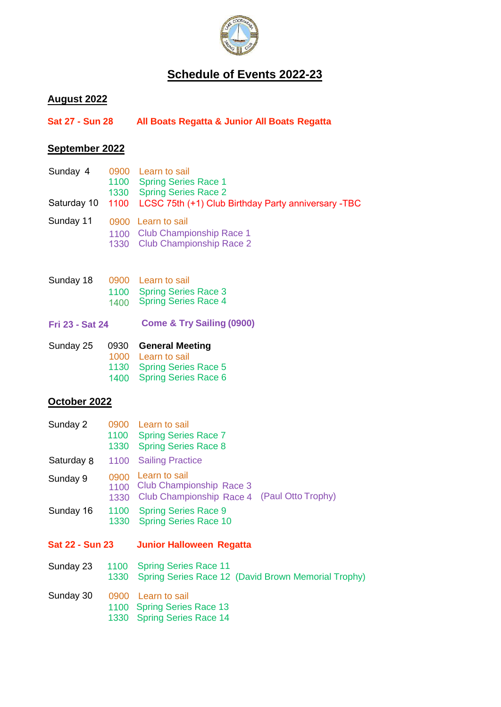

# **Schedule of Events 2022-23**

# **August 2022**

| <b>Sat 27 - Sun 28</b> | All Boats Regatta & Junior All Boats Regatta |  |
|------------------------|----------------------------------------------|--|
|                        |                                              |  |

# **September 2022**

|  | Sunday 4 0900 Learn to sail<br>1100 Spring Series Race 1<br>1330 Spring Series Race 2<br>Saturday 10 1100 LCSC 75th (+1) Club Birthday Party anniversary -TBC |
|--|---------------------------------------------------------------------------------------------------------------------------------------------------------------|
|  | Sunday 11 0900 Learn to sail<br>1100 Club Championship Race 1<br>1330 Club Championship Race 2                                                                |

| Sunday 18 |      | 0900 Learn to sail          |
|-----------|------|-----------------------------|
|           |      | 1100 Spring Series Race 3   |
|           | 1400 | <b>Spring Series Race 4</b> |

**Come & Try Sailing (0900) Fri 23 - Sat 24**

| Sunday 25 | 0930 General Meeting      |
|-----------|---------------------------|
|           | 1000 Learn to sail        |
|           | 1130 Spring Series Race 5 |
|           | 1400 Spring Series Race 6 |

#### **October 2022**

| Sunday 2        |                      | 0900 Learn to sail<br>1100 Spring Series Race 7<br>1330 Spring Series Race 8      |                    |
|-----------------|----------------------|-----------------------------------------------------------------------------------|--------------------|
| Saturday 8      | 1100                 | <b>Sailing Practice</b>                                                           |                    |
| Sunday 9        | 0900<br>1100<br>1330 | Learn to sail<br>Club Championship Race 3<br>Club Championship Race 4             | (Paul Otto Trophy) |
| Sunday 16       | 1330                 | 1100 Spring Series Race 9<br><b>Spring Series Race 10</b>                         |                    |
| Sat 22 - Sun 23 |                      | <b>Junior Halloween Regatta</b>                                                   |                    |
| Sunday 23       | 1330                 | 1100 Spring Series Race 11<br>Spring Series Race 12 (David Brown Memorial Trophy) |                    |
| Sunday 30       |                      | 0900 Learn to sail<br>1100 Spring Series Race 13<br>1330 Spring Series Race 14    |                    |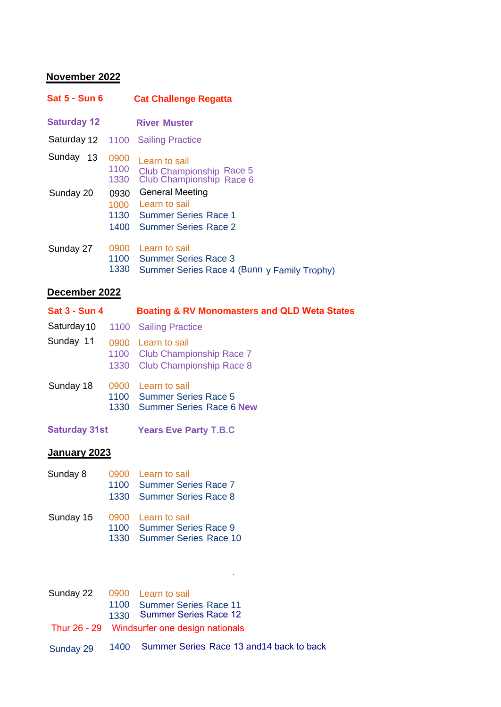# **November 2022**

| <b>Sat 5 - Sun 6</b> |                      | <b>Cat Challenge Regatta</b>                                                                        |
|----------------------|----------------------|-----------------------------------------------------------------------------------------------------|
| <b>Saturday 12</b>   |                      | <b>River Muster</b>                                                                                 |
| Saturday 12 1100     |                      | <b>Sailing Practice</b>                                                                             |
| Sunday<br>13         | 0900<br>1100<br>1330 | Learn to sail<br>Club Championship Race 5<br>Club Championship Race 6                               |
| Sunday 20            | 0930<br>1000<br>1400 | <b>General Meeting</b><br>Learn to sail<br>1130 Summer Series Race 1<br><b>Summer Series Race 2</b> |
| Sunday 27            | 0900<br>1100<br>1330 | Learn to sail<br><b>Summer Series Race 3</b><br>Summer Series Race 4 (Bunn y Family Trophy)         |

### **December 2022**

| <b>Sat 3 - Sun 4</b> |              | <b>Boating &amp; RV Monomasters and QLD Weta States</b>                              |
|----------------------|--------------|--------------------------------------------------------------------------------------|
| Saturday 10          |              | 1100 Sailing Practice                                                                |
| Sunday 11            |              | 0900 Learn to sail<br>1100 Club Championship Race 7<br>1330 Club Championship Race 8 |
| Sunday 18            | 0900<br>1330 | Learn to sail<br>1100 Summer Series Race 5<br><b>Summer Series Race 6 New</b>        |
| <b>Saturday 31st</b> |              | <b>Years Eve Party T.B.C</b>                                                         |

# **January 2023**

| Sunday 8  | 0900 Learn to sail         |
|-----------|----------------------------|
|           | 1100 Summer Series Race 7  |
|           | 1330 Summer Series Race 8  |
| Sunday 15 | 0900 Learn to sail         |
|           | 1100 Summer Series Race 9  |
|           | 1330 Summer Series Race 10 |

| Sunday 22 0900 Learn to sail |                                                |
|------------------------------|------------------------------------------------|
|                              | 1100 Summer Series Race 11                     |
|                              | 1330 Summer Series Race 12                     |
|                              | Thur 26 - 29 Windsurfer one design nationals   |
| Sunday 29                    | 1400 Summer Series Race 13 and 14 back to back |

.